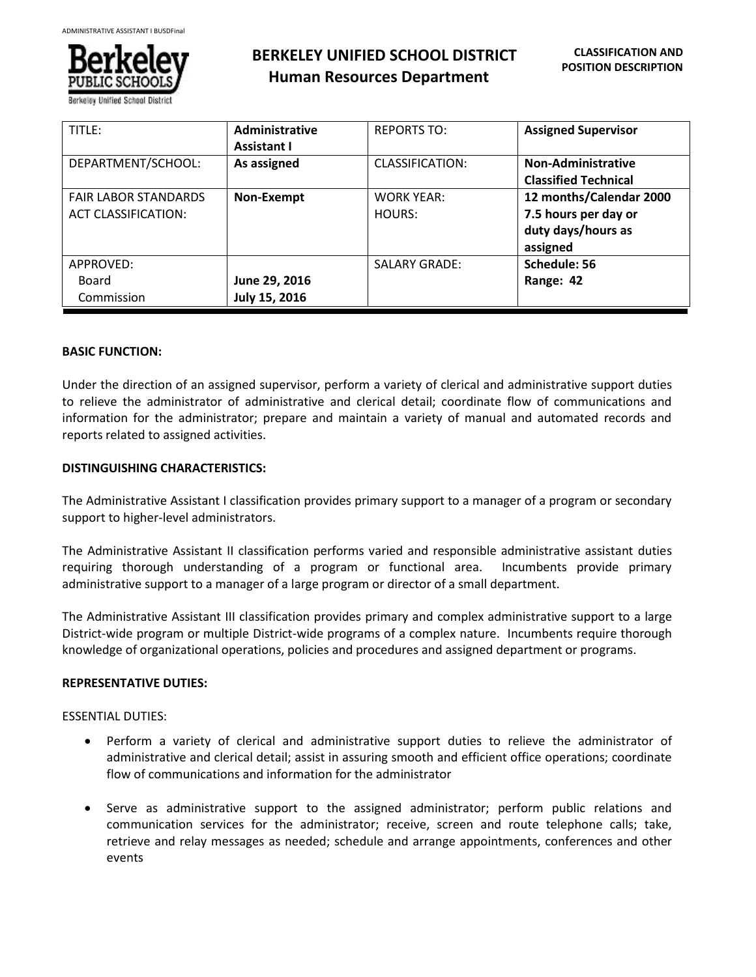

**BERKELEY UNIFIED SCHOOL DISTRICT Human Resources Department**

| TITLE:                                                    | <b>Administrative</b><br><b>Assistant I</b> | <b>REPORTS TO:</b>          | <b>Assigned Supervisor</b>                                                        |
|-----------------------------------------------------------|---------------------------------------------|-----------------------------|-----------------------------------------------------------------------------------|
| DEPARTMENT/SCHOOL:                                        | As assigned                                 | <b>CLASSIFICATION:</b>      | Non-Administrative<br><b>Classified Technical</b>                                 |
| <b>FAIR LABOR STANDARDS</b><br><b>ACT CLASSIFICATION:</b> | Non-Exempt                                  | <b>WORK YEAR:</b><br>HOURS: | 12 months/Calendar 2000<br>7.5 hours per day or<br>duty days/hours as<br>assigned |
| APPROVED:<br>Board<br>Commission                          | June 29, 2016<br>July 15, 2016              | <b>SALARY GRADE:</b>        | Schedule: 56<br>Range: 42                                                         |

#### **BASIC FUNCTION:**

Ī

Under the direction of an assigned supervisor, perform a variety of clerical and administrative support duties to relieve the administrator of administrative and clerical detail; coordinate flow of communications and information for the administrator; prepare and maintain a variety of manual and automated records and reports related to assigned activities.

# **DISTINGUISHING CHARACTERISTICS:**

The Administrative Assistant I classification provides primary support to a manager of a program or secondary support to higher-level administrators.

The Administrative Assistant II classification performs varied and responsible administrative assistant duties requiring thorough understanding of a program or functional area. Incumbents provide primary administrative support to a manager of a large program or director of a small department.

The Administrative Assistant III classification provides primary and complex administrative support to a large District-wide program or multiple District-wide programs of a complex nature. Incumbents require thorough knowledge of organizational operations, policies and procedures and assigned department or programs.

#### **REPRESENTATIVE DUTIES:**

#### ESSENTIAL DUTIES:

- Perform a variety of clerical and administrative support duties to relieve the administrator of administrative and clerical detail; assist in assuring smooth and efficient office operations; coordinate flow of communications and information for the administrator
- Serve as administrative support to the assigned administrator; perform public relations and communication services for the administrator; receive, screen and route telephone calls; take, retrieve and relay messages as needed; schedule and arrange appointments, conferences and other events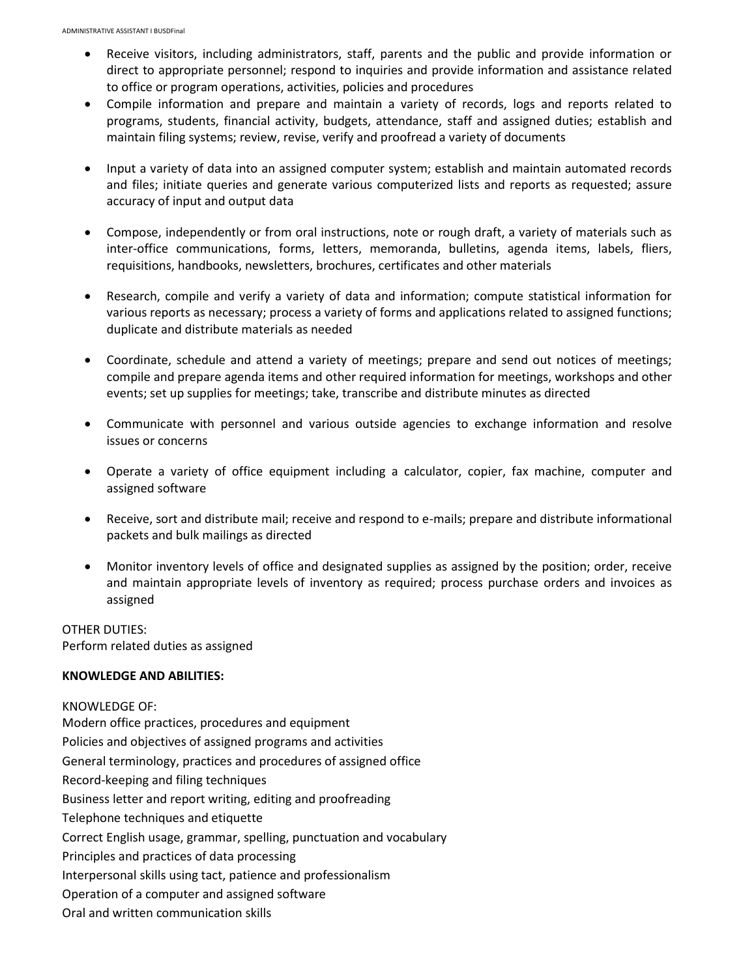- Receive visitors, including administrators, staff, parents and the public and provide information or direct to appropriate personnel; respond to inquiries and provide information and assistance related to office or program operations, activities, policies and procedures
- Compile information and prepare and maintain a variety of records, logs and reports related to programs, students, financial activity, budgets, attendance, staff and assigned duties; establish and maintain filing systems; review, revise, verify and proofread a variety of documents
- Input a variety of data into an assigned computer system; establish and maintain automated records and files; initiate queries and generate various computerized lists and reports as requested; assure accuracy of input and output data
- Compose, independently or from oral instructions, note or rough draft, a variety of materials such as inter-office communications, forms, letters, memoranda, bulletins, agenda items, labels, fliers, requisitions, handbooks, newsletters, brochures, certificates and other materials
- Research, compile and verify a variety of data and information; compute statistical information for various reports as necessary; process a variety of forms and applications related to assigned functions; duplicate and distribute materials as needed
- Coordinate, schedule and attend a variety of meetings; prepare and send out notices of meetings; compile and prepare agenda items and other required information for meetings, workshops and other events; set up supplies for meetings; take, transcribe and distribute minutes as directed
- Communicate with personnel and various outside agencies to exchange information and resolve issues or concerns
- Operate a variety of office equipment including a calculator, copier, fax machine, computer and assigned software
- Receive, sort and distribute mail; receive and respond to e-mails; prepare and distribute informational packets and bulk mailings as directed
- Monitor inventory levels of office and designated supplies as assigned by the position; order, receive and maintain appropriate levels of inventory as required; process purchase orders and invoices as assigned

OTHER DUTIES: Perform related duties as assigned

# **KNOWLEDGE AND ABILITIES:**

KNOWLEDGE OF:

Modern office practices, procedures and equipment Policies and objectives of assigned programs and activities General terminology, practices and procedures of assigned office Record-keeping and filing techniques Business letter and report writing, editing and proofreading Telephone techniques and etiquette Correct English usage, grammar, spelling, punctuation and vocabulary Principles and practices of data processing Interpersonal skills using tact, patience and professionalism Operation of a computer and assigned software Oral and written communication skills